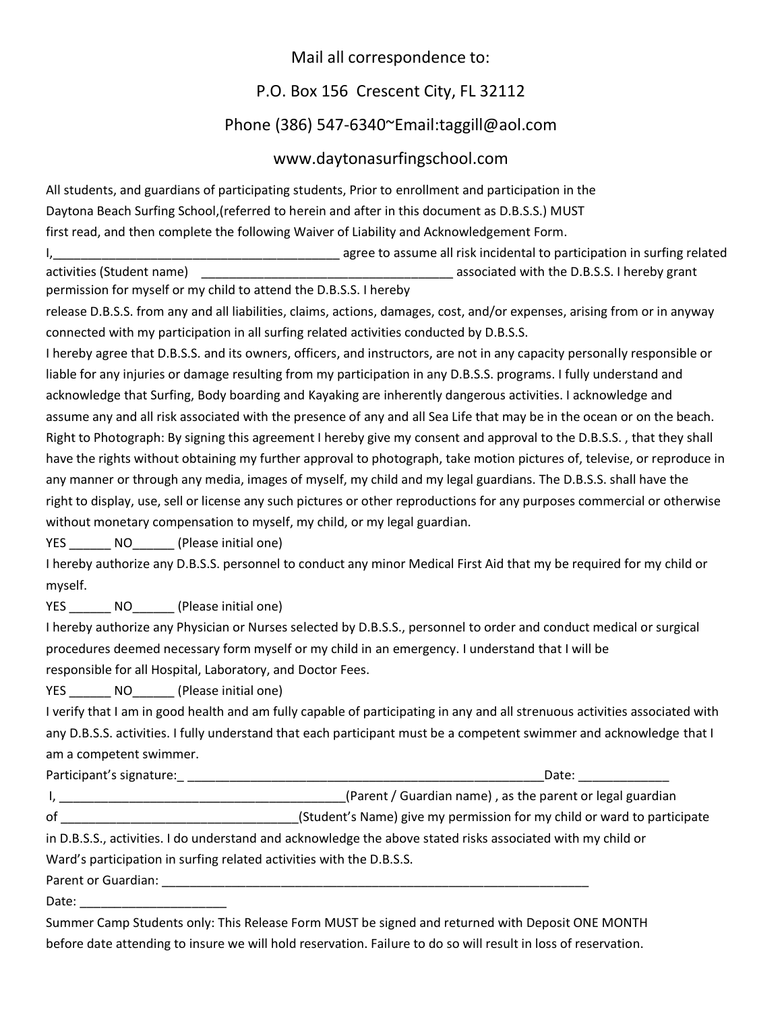## Mail all correspondence to:

## P.O. Box 156 Crescent City, FL 32112

## Phone (386) 547-6340~Email:taggill@aol.com

## www.daytonasurfingschool.com

All students, and guardians of participating students, Prior to enrollment and participation in the Daytona Beach Surfing School,(referred to herein and after in this document as D.B.S.S.) MUST first read, and then complete the following Waiver of Liability and Acknowledgement Form.

I, the contract of the contract of the contract of a system and risk incidental to participation in surfing related activities (Student name) and the D.B.S.S. I hereby grant

permission for myself or my child to attend the D.B.S.S. I hereby

release D.B.S.S. from any and all liabilities, claims, actions, damages, cost, and/or expenses, arising from or in anyway connected with my participation in all surfing related activities conducted by D.B.S.S.

I hereby agree that D.B.S.S. and its owners, officers, and instructors, are not in any capacity personally responsible or liable for any injuries or damage resulting from my participation in any D.B.S.S. programs. I fully understand and acknowledge that Surfing, Body boarding and Kayaking are inherently dangerous activities. I acknowledge and assume any and all risk associated with the presence of any and all Sea Life that may be in the ocean or on the beach. Right to Photograph: By signing this agreement I hereby give my consent and approval to the D.B.S.S. , that they shall have the rights without obtaining my further approval to photograph, take motion pictures of, televise, or reproduce in any manner or through any media, images of myself, my child and my legal guardians. The D.B.S.S. shall have the right to display, use, sell or license any such pictures or other reproductions for any purposes commercial or otherwise without monetary compensation to myself, my child, or my legal guardian.

YES NO (Please initial one)

I hereby authorize any D.B.S.S. personnel to conduct any minor Medical First Aid that my be required for my child or myself.

YES NO (Please initial one)

I hereby authorize any Physician or Nurses selected by D.B.S.S., personnel to order and conduct medical or surgical procedures deemed necessary form myself or my child in an emergency. I understand that I will be responsible for all Hospital, Laboratory, and Doctor Fees.

YES NO (Please initial one)

I verify that I am in good health and am fully capable of participating in any and all strenuous activities associated with any D.B.S.S. activities. I fully understand that each participant must be a competent swimmer and acknowledge that I am a competent swimmer.

| Participant's signature:                                             | Date:                                                                                                       |
|----------------------------------------------------------------------|-------------------------------------------------------------------------------------------------------------|
|                                                                      | (Parent / Guardian name), as the parent or legal guardian                                                   |
| of                                                                   | (Student's Name) give my permission for my child or ward to participate                                     |
|                                                                      | in D.B.S.S., activities. I do understand and acknowledge the above stated risks associated with my child or |
| Ward's participation in surfing related activities with the D.B.S.S. |                                                                                                             |
| Parent or Guardian:                                                  |                                                                                                             |
| Date:                                                                |                                                                                                             |

Summer Camp Students only: This Release Form MUST be signed and returned with Deposit ONE MONTH before date attending to insure we will hold reservation. Failure to do so will result in loss of reservation.